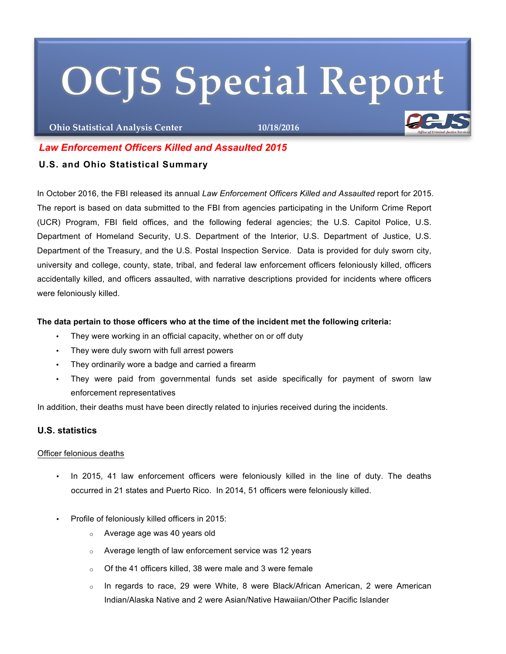# **OCJS Special Report**

**Ohio Statistical Analysis Center 10/18/2016**



# *Law Enforcement Officers Killed and Assaulted 2015*

## **U.S. and Ohio Statistical Summary**

In October 2016, the FBI released its annual *Law Enforcement Officers Killed and Assaulted* report for 2015. The report is based on data submitted to the FBI from agencies participating in the Uniform Crime Report (UCR) Program, FBI field offices, and the following federal agencies; the U.S. Capitol Police, U.S. Department of Homeland Security, U.S. Department of the Interior, U.S. Department of Justice, U.S. Department of the Treasury, and the U.S. Postal Inspection Service. Data is provided for duly sworn city, university and college, county, state, tribal, and federal law enforcement officers feloniously killed, officers accidentally killed, and officers assaulted, with narrative descriptions provided for incidents where officers were feloniously killed.

## **The data pertain to those officers who at the time of the incident met the following criteria:**

- They were working in an official capacity, whether on or off duty
- They were duly sworn with full arrest powers
- They ordinarily wore a badge and carried a firearm
- They were paid from governmental funds set aside specifically for payment of sworn law enforcement representatives

In addition, their deaths must have been directly related to injuries received during the incidents.

## **U.S. statistics**

## Officer felonious deaths

- In 2015, 41 law enforcement officers were feloniously killed in the line of duty. The deaths occurred in 21 states and Puerto Rico. In 2014, 51 officers were feloniously killed.
- Profile of feloniously killed officers in 2015:
	- o Average age was 40 years old
	- o Average length of law enforcement service was 12 years
	- o Of the 41 officers killed, 38 were male and 3 were female
	- o In regards to race, 29 were White, 8 were Black/African American, 2 were American Indian/Alaska Native and 2 were Asian/Native Hawaiian/Other Pacific Islander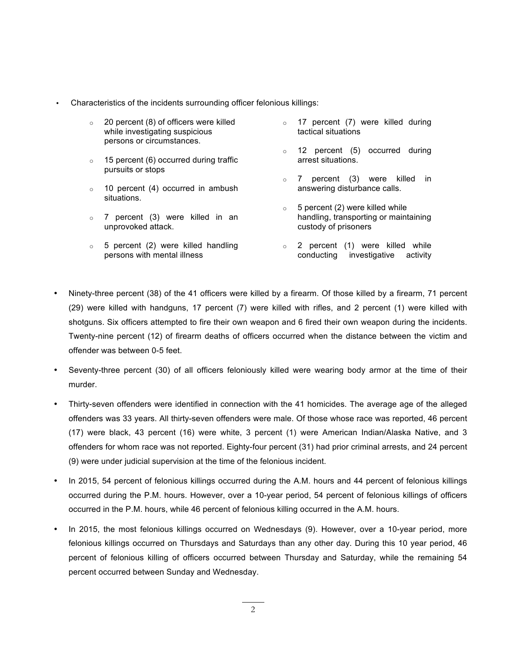- Characteristics of the incidents surrounding officer felonious killings:
	- o 20 percent (8) of officers were killed while investigating suspicious persons or circumstances.
	- $\circ$  15 percent (6) occurred during traffic pursuits or stops
	- $\circ$  10 percent (4) occurred in ambush situations.
	- o 7 percent (3) were killed in an unprovoked attack.
	- $\circ$  5 percent (2) were killed handling persons with mental illness
- o 17 percent (7) were killed during tactical situations
- o 12 percent (5) occurred during arrest situations.
- o 7 percent (3) were killed in answering disturbance calls.
- $\circ$  5 percent (2) were killed while handling, transporting or maintaining custody of prisoners
- o 2 percent (1) were killed while conducting investigative activity
- Ninety-three percent (38) of the 41 officers were killed by a firearm. Of those killed by a firearm, 71 percent (29) were killed with handguns, 17 percent (7) were killed with rifles, and 2 percent (1) were killed with shotguns. Six officers attempted to fire their own weapon and 6 fired their own weapon during the incidents. Twenty-nine percent (12) of firearm deaths of officers occurred when the distance between the victim and offender was between 0-5 feet.
- Seventy-three percent (30) of all officers feloniously killed were wearing body armor at the time of their murder.
- Thirty-seven offenders were identified in connection with the 41 homicides. The average age of the alleged offenders was 33 years. All thirty-seven offenders were male. Of those whose race was reported, 46 percent (17) were black, 43 percent (16) were white, 3 percent (1) were American Indian/Alaska Native, and 3 offenders for whom race was not reported. Eighty-four percent (31) had prior criminal arrests, and 24 percent (9) were under judicial supervision at the time of the felonious incident.
- In 2015, 54 percent of felonious killings occurred during the A.M. hours and 44 percent of felonious killings occurred during the P.M. hours. However, over a 10-year period, 54 percent of felonious killings of officers occurred in the P.M. hours, while 46 percent of felonious killing occurred in the A.M. hours.
- In 2015, the most felonious killings occurred on Wednesdays (9). However, over a 10-year period, more felonious killings occurred on Thursdays and Saturdays than any other day. During this 10 year period, 46 percent of felonious killing of officers occurred between Thursday and Saturday, while the remaining 54 percent occurred between Sunday and Wednesday.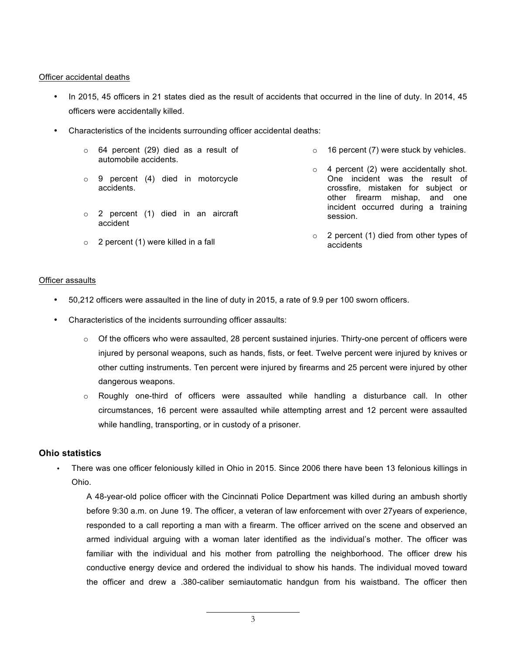#### Officer accidental deaths

- In 2015, 45 officers in 21 states died as the result of accidents that occurred in the line of duty. In 2014, 45 officers were accidentally killed.
- Characteristics of the incidents surrounding officer accidental deaths:
	- o 64 percent (29) died as a result of automobile accidents. o 16 percent (7) were stuck by vehicles.
	- o 9 percent (4) died in motorcycle accidents.
	- o 2 percent (1) died in an aircraft accident

 $\circ$  2 percent (1) were killed in a fall

 $\circ$  4 percent (2) were accidentally shot. One incident was the result of crossfire, mistaken for subject or other firearm mishap, and one incident occurred during a training session.

o 2 percent (1) died from other types of accidents

#### Officer assaults

- 50,212 officers were assaulted in the line of duty in 2015, a rate of 9.9 per 100 sworn officers.
- Characteristics of the incidents surrounding officer assaults:
	- $\circ$  Of the officers who were assaulted, 28 percent sustained injuries. Thirty-one percent of officers were injured by personal weapons, such as hands, fists, or feet. Twelve percent were injured by knives or other cutting instruments. Ten percent were injured by firearms and 25 percent were injured by other dangerous weapons.
	- $\circ$  Roughly one-third of officers were assaulted while handling a disturbance call. In other circumstances, 16 percent were assaulted while attempting arrest and 12 percent were assaulted while handling, transporting, or in custody of a prisoner.

#### **Ohio statistics**

• There was one officer feloniously killed in Ohio in 2015. Since 2006 there have been 13 felonious killings in Ohio.

A 48-year-old police officer with the Cincinnati Police Department was killed during an ambush shortly before 9:30 a.m. on June 19. The officer, a veteran of law enforcement with over 27years of experience, responded to a call reporting a man with a firearm. The officer arrived on the scene and observed an armed individual arguing with a woman later identified as the individual's mother. The officer was familiar with the individual and his mother from patrolling the neighborhood. The officer drew his conductive energy device and ordered the individual to show his hands. The individual moved toward the officer and drew a .380-caliber semiautomatic handgun from his waistband. The officer then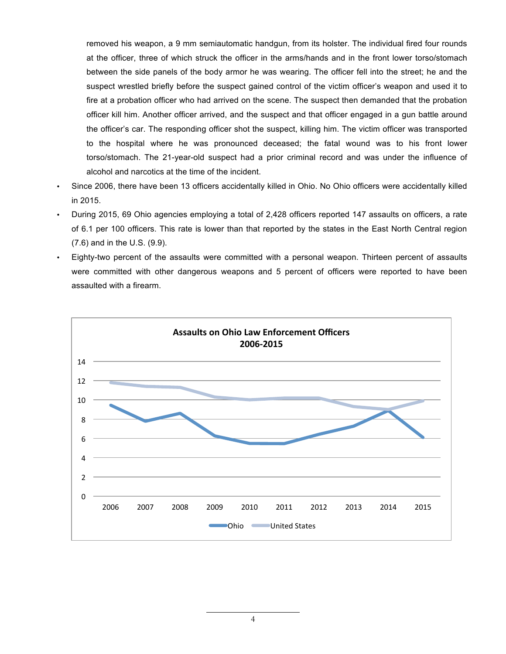removed his weapon, a 9 mm semiautomatic handgun, from its holster. The individual fired four rounds at the officer, three of which struck the officer in the arms/hands and in the front lower torso/stomach between the side panels of the body armor he was wearing. The officer fell into the street; he and the suspect wrestled briefly before the suspect gained control of the victim officer's weapon and used it to fire at a probation officer who had arrived on the scene. The suspect then demanded that the probation officer kill him. Another officer arrived, and the suspect and that officer engaged in a gun battle around the officer's car. The responding officer shot the suspect, killing him. The victim officer was transported to the hospital where he was pronounced deceased; the fatal wound was to his front lower torso/stomach. The 21-year-old suspect had a prior criminal record and was under the influence of alcohol and narcotics at the time of the incident.

- Since 2006, there have been 13 officers accidentally killed in Ohio. No Ohio officers were accidentally killed in 2015.
- During 2015, 69 Ohio agencies employing a total of 2,428 officers reported 147 assaults on officers, a rate of 6.1 per 100 officers. This rate is lower than that reported by the states in the East North Central region (7.6) and in the U.S. (9.9).
- Eighty-two percent of the assaults were committed with a personal weapon. Thirteen percent of assaults were committed with other dangerous weapons and 5 percent of officers were reported to have been assaulted with a firearm.



4